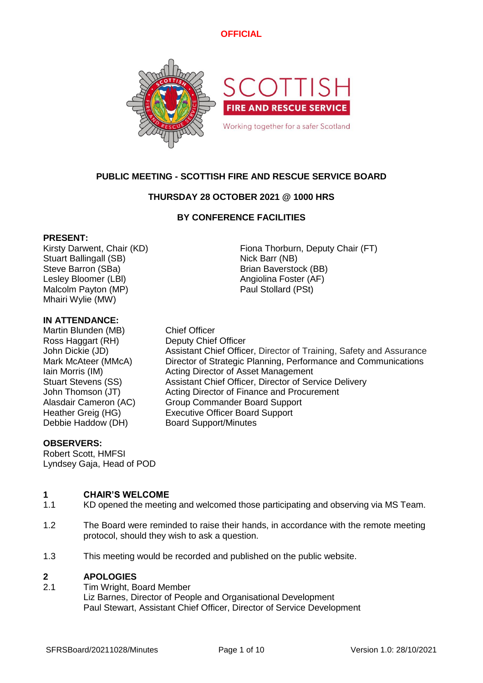

## **PUBLIC MEETING - SCOTTISH FIRE AND RESCUE SERVICE BOARD**

## **THURSDAY 28 OCTOBER 2021 @ 1000 HRS**

### **BY CONFERENCE FACILITIES**

### **PRESENT:**

Kirsty Darwent, Chair (KD) Fiona Thorburn, Deputy Chair (FT) Stuart Ballingall (SB) Nick Barr (NB) Steve Barron (SBa) Brian Baverstock (BB) Lesley Bloomer (LBI) Angiolina Foster (AF) Malcolm Payton (MP) example a part of the Paul Stollard (PSt) Mhairi Wylie (MW)

### **IN ATTENDANCE:**

Martin Blunden (MB) Chief Officer Ross Haggart (RH) Deputy Chief Officer Debbie Haddow (DH) Board Support/Minutes

John Dickie (JD) Assistant Chief Officer, Director of Training, Safety and Assurance Mark McAteer (MMcA) Director of Strategic Planning, Performance and Communications Iain Morris (IM) **Acting Director of Asset Management** Stuart Stevens (SS) Assistant Chief Officer, Director of Service Delivery John Thomson (JT) Acting Director of Finance and Procurement Alasdair Cameron (AC) Group Commander Board Support Heather Greig (HG) Executive Officer Board Support

### **OBSERVERS:**

Robert Scott, HMFSI Lyndsey Gaja, Head of POD

#### **1 CHAIR'S WELCOME**

- 1.1 KD opened the meeting and welcomed those participating and observing via MS Team.
- 1.2 The Board were reminded to raise their hands, in accordance with the remote meeting protocol, should they wish to ask a question.
- 1.3 This meeting would be recorded and published on the public website.

#### **2 APOLOGIES**

2.1 Tim Wright, Board Member Liz Barnes, Director of People and Organisational Development Paul Stewart, Assistant Chief Officer, Director of Service Development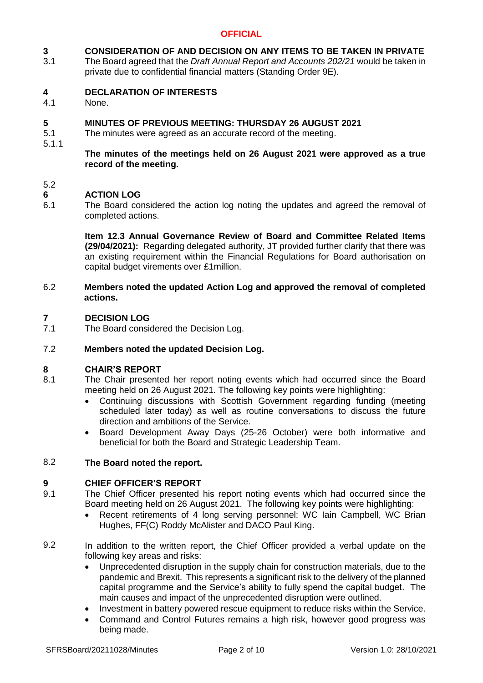#### **3 CONSIDERATION OF AND DECISION ON ANY ITEMS TO BE TAKEN IN PRIVATE**

3.1 The Board agreed that the *Draft Annual Report and Accounts 202/21* would be taken in private due to confidential financial matters (Standing Order 9E).

#### **4 DECLARATION OF INTERESTS**

4.1 None.

#### **5 MINUTES OF PREVIOUS MEETING: THURSDAY 26 AUGUST 2021**

- 5.1 The minutes were agreed as an accurate record of the meeting.
- 5.1.1

### **The minutes of the meetings held on 26 August 2021 were approved as a true record of the meeting.**

### 5.2

#### **6 ACTION LOG**

6.1 The Board considered the action log noting the updates and agreed the removal of completed actions.

> **Item 12.3 Annual Governance Review of Board and Committee Related Items (29/04/2021):** Regarding delegated authority, JT provided further clarify that there was an existing requirement within the Financial Regulations for Board authorisation on capital budget virements over £1million.

### 6.2 **Members noted the updated Action Log and approved the removal of completed actions.**

#### **7 DECISION LOG**

7.1 The Board considered the Decision Log.

#### 7.2 **Members noted the updated Decision Log.**

### **8 CHAIR'S REPORT**

- 8.1 The Chair presented her report noting events which had occurred since the Board meeting held on 26 August 2021. The following key points were highlighting:
	- Continuing discussions with Scottish Government regarding funding (meeting scheduled later today) as well as routine conversations to discuss the future direction and ambitions of the Service.
	- Board Development Away Days (25-26 October) were both informative and beneficial for both the Board and Strategic Leadership Team.

#### 8.2 **The Board noted the report.**

### **9 CHIEF OFFICER'S REPORT**

- 9.1 The Chief Officer presented his report noting events which had occurred since the Board meeting held on 26 August 2021. The following key points were highlighting:
	- Recent retirements of 4 long serving personnel: WC Iain Campbell, WC Brian Hughes, FF(C) Roddy McAlister and DACO Paul King.
- 9.2 In addition to the written report, the Chief Officer provided a verbal update on the following key areas and risks:
	- Unprecedented disruption in the supply chain for construction materials, due to the pandemic and Brexit. This represents a significant risk to the delivery of the planned capital programme and the Service's ability to fully spend the capital budget. The main causes and impact of the unprecedented disruption were outlined.
	- Investment in battery powered rescue equipment to reduce risks within the Service.
	- Command and Control Futures remains a high risk, however good progress was being made.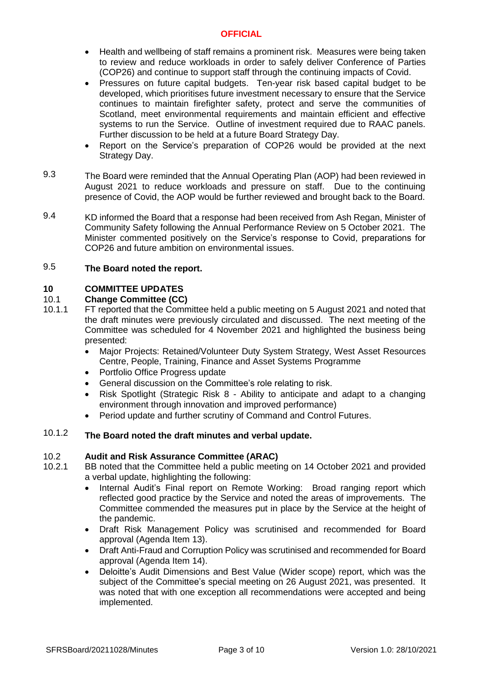- Health and wellbeing of staff remains a prominent risk. Measures were being taken to review and reduce workloads in order to safely deliver Conference of Parties (COP26) and continue to support staff through the continuing impacts of Covid.
- Pressures on future capital budgets. Ten-year risk based capital budget to be developed, which prioritises future investment necessary to ensure that the Service continues to maintain firefighter safety, protect and serve the communities of Scotland, meet environmental requirements and maintain efficient and effective systems to run the Service. Outline of investment required due to RAAC panels. Further discussion to be held at a future Board Strategy Day.
- Report on the Service's preparation of COP26 would be provided at the next Strategy Day.
- 9.3 The Board were reminded that the Annual Operating Plan (AOP) had been reviewed in August 2021 to reduce workloads and pressure on staff. Due to the continuing presence of Covid, the AOP would be further reviewed and brought back to the Board.
- 9.4 KD informed the Board that a response had been received from Ash Regan, Minister of Community Safety following the Annual Performance Review on 5 October 2021. The Minister commented positively on the Service's response to Covid, preparations for COP26 and future ambition on environmental issues.

#### 9.5 **The Board noted the report.**

### **10 COMMITTEE UPDATES**

#### $10.1$ **Change Committee (CC)**

- 10.1.1 FT reported that the Committee held a public meeting on 5 August 2021 and noted that the draft minutes were previously circulated and discussed. The next meeting of the Committee was scheduled for 4 November 2021 and highlighted the business being presented:
	- Major Projects: Retained/Volunteer Duty System Strategy, West Asset Resources Centre, People, Training, Finance and Asset Systems Programme
	- Portfolio Office Progress update
	- General discussion on the Committee's role relating to risk.
	- Risk Spotlight (Strategic Risk 8 Ability to anticipate and adapt to a changing environment through innovation and improved performance)
	- Period update and further scrutiny of Command and Control Futures.

### 10.1.2 **The Board noted the draft minutes and verbal update.**

#### 10.2 **Audit and Risk Assurance Committee (ARAC)**

- 10.2.1 BB noted that the Committee held a public meeting on 14 October 2021 and provided a verbal update, highlighting the following:
	- Internal Audit's Final report on Remote Working: Broad ranging report which reflected good practice by the Service and noted the areas of improvements. The Committee commended the measures put in place by the Service at the height of the pandemic.
	- Draft Risk Management Policy was scrutinised and recommended for Board approval (Agenda Item 13).
	- Draft Anti-Fraud and Corruption Policy was scrutinised and recommended for Board approval (Agenda Item 14).
	- Deloitte's Audit Dimensions and Best Value (Wider scope) report, which was the subject of the Committee's special meeting on 26 August 2021, was presented. It was noted that with one exception all recommendations were accepted and being implemented.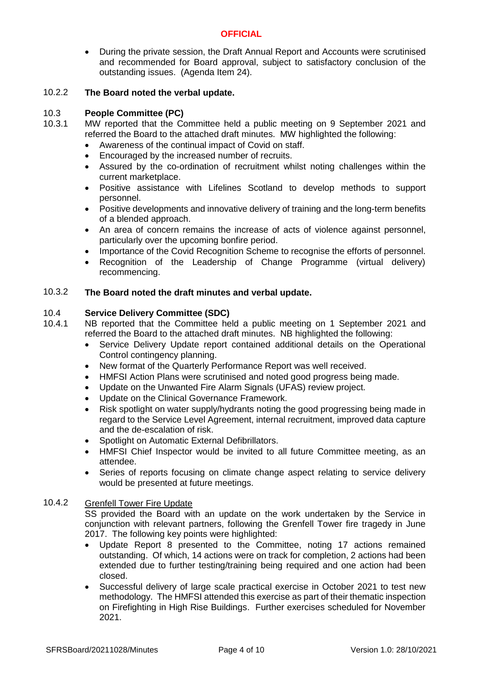• During the private session, the Draft Annual Report and Accounts were scrutinised and recommended for Board approval, subject to satisfactory conclusion of the outstanding issues. (Agenda Item 24).

#### 10.2.2 **The Board noted the verbal update.**

#### 10.3 **People Committee (PC)**

- 10.3.1 MW reported that the Committee held a public meeting on 9 September 2021 and referred the Board to the attached draft minutes. MW highlighted the following:
	- Awareness of the continual impact of Covid on staff.
	- Encouraged by the increased number of recruits.
	- Assured by the co-ordination of recruitment whilst noting challenges within the current marketplace.
	- Positive assistance with Lifelines Scotland to develop methods to support personnel.
	- Positive developments and innovative delivery of training and the long-term benefits of a blended approach.
	- An area of concern remains the increase of acts of violence against personnel, particularly over the upcoming bonfire period.
	- Importance of the Covid Recognition Scheme to recognise the efforts of personnel.
	- Recognition of the Leadership of Change Programme (virtual delivery) recommencing.

#### 10.3.2 **The Board noted the draft minutes and verbal update.**

#### 10.4 **Service Delivery Committee (SDC)**

- 10.4.1 NB reported that the Committee held a public meeting on 1 September 2021 and referred the Board to the attached draft minutes. NB highlighted the following:
	- Service Delivery Update report contained additional details on the Operational Control contingency planning.
	- New format of the Quarterly Performance Report was well received.
	- HMFSI Action Plans were scrutinised and noted good progress being made.
	- Update on the Unwanted Fire Alarm Signals (UFAS) review project.
	- Update on the Clinical Governance Framework.
	- Risk spotlight on water supply/hydrants noting the good progressing being made in regard to the Service Level Agreement, internal recruitment, improved data capture and the de-escalation of risk.
	- Spotlight on Automatic External Defibrillators.
	- HMFSI Chief Inspector would be invited to all future Committee meeting, as an attendee.
	- Series of reports focusing on climate change aspect relating to service delivery would be presented at future meetings.

#### 10.4.2 Grenfell Tower Fire Update

SS provided the Board with an update on the work undertaken by the Service in conjunction with relevant partners, following the Grenfell Tower fire tragedy in June 2017. The following key points were highlighted:

- Update Report 8 presented to the Committee, noting 17 actions remained outstanding. Of which, 14 actions were on track for completion, 2 actions had been extended due to further testing/training being required and one action had been closed.
- Successful delivery of large scale practical exercise in October 2021 to test new methodology. The HMFSI attended this exercise as part of their thematic inspection on Firefighting in High Rise Buildings. Further exercises scheduled for November 2021.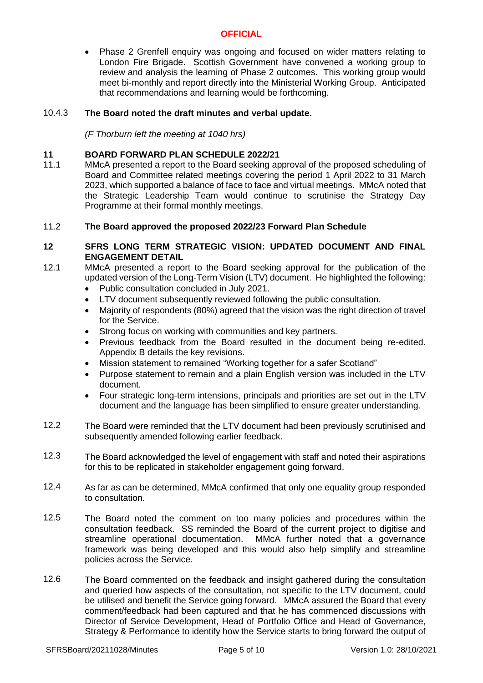• Phase 2 Grenfell enquiry was ongoing and focused on wider matters relating to London Fire Brigade. Scottish Government have convened a working group to review and analysis the learning of Phase 2 outcomes. This working group would meet bi-monthly and report directly into the Ministerial Working Group. Anticipated that recommendations and learning would be forthcoming.

#### 10.4.3 **The Board noted the draft minutes and verbal update.**

*(F Thorburn left the meeting at 1040 hrs)*

### **11 BOARD FORWARD PLAN SCHEDULE 2022/21**

11.1 MMcA presented a report to the Board seeking approval of the proposed scheduling of Board and Committee related meetings covering the period 1 April 2022 to 31 March 2023, which supported a balance of face to face and virtual meetings. MMcA noted that the Strategic Leadership Team would continue to scrutinise the Strategy Day Programme at their formal monthly meetings.

#### 11.2 **The Board approved the proposed 2022/23 Forward Plan Schedule**

### **12 SFRS LONG TERM STRATEGIC VISION: UPDATED DOCUMENT AND FINAL ENGAGEMENT DETAIL**

- 12.1 MMcA presented a report to the Board seeking approval for the publication of the updated version of the Long-Term Vision (LTV) document. He highlighted the following:
	- Public consultation concluded in July 2021.
	- LTV document subsequently reviewed following the public consultation.
	- Majority of respondents (80%) agreed that the vision was the right direction of travel for the Service.
	- Strong focus on working with communities and key partners.
	- Previous feedback from the Board resulted in the document being re-edited. Appendix B details the key revisions.
	- Mission statement to remained "Working together for a safer Scotland"
	- Purpose statement to remain and a plain English version was included in the LTV document.
	- Four strategic long-term intensions, principals and priorities are set out in the LTV document and the language has been simplified to ensure greater understanding.
- 12.2 The Board were reminded that the LTV document had been previously scrutinised and subsequently amended following earlier feedback.
- 12.3 The Board acknowledged the level of engagement with staff and noted their aspirations for this to be replicated in stakeholder engagement going forward.
- 12.4 As far as can be determined, MMcA confirmed that only one equality group responded to consultation.
- 12.5 The Board noted the comment on too many policies and procedures within the consultation feedback. SS reminded the Board of the current project to digitise and streamline operational documentation. MMcA further noted that a governance framework was being developed and this would also help simplify and streamline policies across the Service.
- 12.6 The Board commented on the feedback and insight gathered during the consultation and queried how aspects of the consultation, not specific to the LTV document, could be utilised and benefit the Service going forward. MMcA assured the Board that every comment/feedback had been captured and that he has commenced discussions with Director of Service Development, Head of Portfolio Office and Head of Governance, Strategy & Performance to identify how the Service starts to bring forward the output of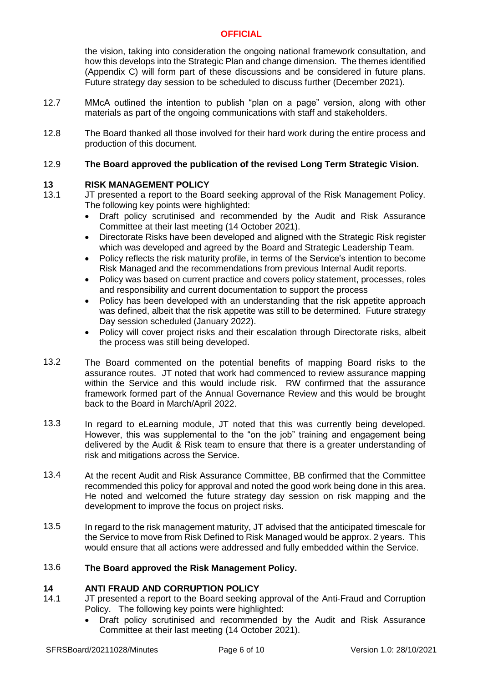the vision, taking into consideration the ongoing national framework consultation, and how this develops into the Strategic Plan and change dimension. The themes identified (Appendix C) will form part of these discussions and be considered in future plans. Future strategy day session to be scheduled to discuss further (December 2021).

- 12.7 MMcA outlined the intention to publish "plan on a page" version, along with other materials as part of the ongoing communications with staff and stakeholders.
- 12.8 The Board thanked all those involved for their hard work during the entire process and production of this document.

#### 12.9 **The Board approved the publication of the revised Long Term Strategic Vision.**

### **13 RISK MANAGEMENT POLICY**

- 13.1 JT presented a report to the Board seeking approval of the Risk Management Policy. The following key points were highlighted:
	- Draft policy scrutinised and recommended by the Audit and Risk Assurance Committee at their last meeting (14 October 2021).
	- Directorate Risks have been developed and aligned with the Strategic Risk register which was developed and agreed by the Board and Strategic Leadership Team.
	- Policy reflects the risk maturity profile, in terms of the Service's intention to become Risk Managed and the recommendations from previous Internal Audit reports.
	- Policy was based on current practice and covers policy statement, processes, roles and responsibility and current documentation to support the process
	- Policy has been developed with an understanding that the risk appetite approach was defined, albeit that the risk appetite was still to be determined. Future strategy Day session scheduled (January 2022).
	- Policy will cover project risks and their escalation through Directorate risks, albeit the process was still being developed.
- 13.2 The Board commented on the potential benefits of mapping Board risks to the assurance routes. JT noted that work had commenced to review assurance mapping within the Service and this would include risk. RW confirmed that the assurance framework formed part of the Annual Governance Review and this would be brought back to the Board in March/April 2022.
- 13.3 In regard to eLearning module, JT noted that this was currently being developed. However, this was supplemental to the "on the job" training and engagement being delivered by the Audit & Risk team to ensure that there is a greater understanding of risk and mitigations across the Service.
- 13.4 At the recent Audit and Risk Assurance Committee, BB confirmed that the Committee recommended this policy for approval and noted the good work being done in this area. He noted and welcomed the future strategy day session on risk mapping and the development to improve the focus on project risks.
- 13.5 In regard to the risk management maturity, JT advised that the anticipated timescale for the Service to move from Risk Defined to Risk Managed would be approx. 2 years. This would ensure that all actions were addressed and fully embedded within the Service.

#### 13.6 **The Board approved the Risk Management Policy.**

### **14 ANTI FRAUD AND CORRUPTION POLICY**

- 14.1 JT presented a report to the Board seeking approval of the Anti-Fraud and Corruption Policy. The following key points were highlighted:
	- Draft policy scrutinised and recommended by the Audit and Risk Assurance Committee at their last meeting (14 October 2021).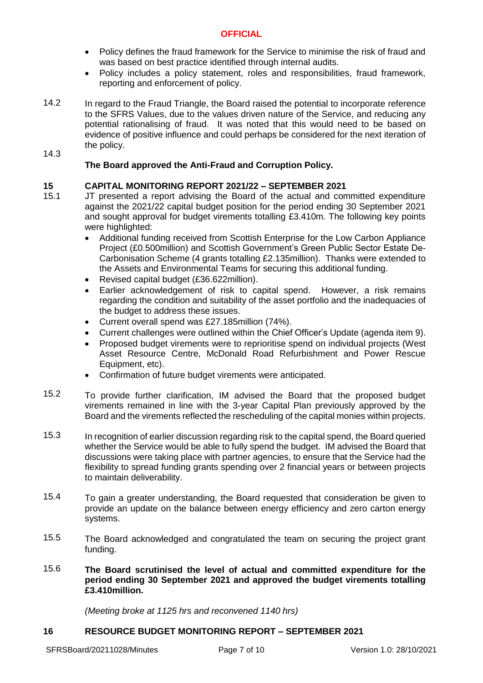- Policy defines the fraud framework for the Service to minimise the risk of fraud and was based on best practice identified through internal audits.
- Policy includes a policy statement, roles and responsibilities, fraud framework, reporting and enforcement of policy.
- 14.2 In regard to the Fraud Triangle, the Board raised the potential to incorporate reference to the SFRS Values, due to the values driven nature of the Service, and reducing any potential rationalising of fraud. It was noted that this would need to be based on evidence of positive influence and could perhaps be considered for the next iteration of the policy.

### 14.3

# **The Board approved the Anti-Fraud and Corruption Policy.**

# **15 CAPITAL MONITORING REPORT 2021/22 – SEPTEMBER 2021**

- 15.1 JT presented a report advising the Board of the actual and committed expenditure against the 2021/22 capital budget position for the period ending 30 September 2021 and sought approval for budget virements totalling £3.410m. The following key points were highlighted:
	- Additional funding received from Scottish Enterprise for the Low Carbon Appliance Project (£0.500million) and Scottish Government's Green Public Sector Estate De-Carbonisation Scheme (4 grants totalling £2.135million). Thanks were extended to the Assets and Environmental Teams for securing this additional funding.
	- Revised capital budget (£36.622million).
	- Earlier acknowledgement of risk to capital spend. However, a risk remains regarding the condition and suitability of the asset portfolio and the inadequacies of the budget to address these issues.
	- Current overall spend was £27.185million (74%).
	- Current challenges were outlined within the Chief Officer's Update (agenda item 9).
	- Proposed budget virements were to reprioritise spend on individual projects (West Asset Resource Centre, McDonald Road Refurbishment and Power Rescue Equipment, etc).
	- Confirmation of future budget virements were anticipated.
- 15.2 To provide further clarification, IM advised the Board that the proposed budget virements remained in line with the 3-year Capital Plan previously approved by the Board and the virements reflected the rescheduling of the capital monies within projects.
- 15.3 In recognition of earlier discussion regarding risk to the capital spend, the Board queried whether the Service would be able to fully spend the budget. IM advised the Board that discussions were taking place with partner agencies, to ensure that the Service had the flexibility to spread funding grants spending over 2 financial years or between projects to maintain deliverability.
- 15.4 To gain a greater understanding, the Board requested that consideration be given to provide an update on the balance between energy efficiency and zero carton energy systems.
- 15.5 The Board acknowledged and congratulated the team on securing the project grant funding.
- 15.6 **The Board scrutinised the level of actual and committed expenditure for the period ending 30 September 2021 and approved the budget virements totalling £3.410million.**

*(Meeting broke at 1125 hrs and reconvened 1140 hrs)*

### **16 RESOURCE BUDGET MONITORING REPORT – SEPTEMBER 2021**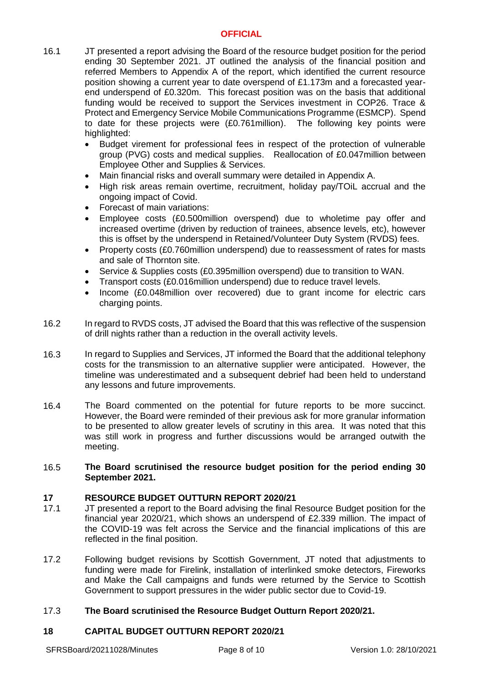- 16.1 JT presented a report advising the Board of the resource budget position for the period ending 30 September 2021. JT outlined the analysis of the financial position and referred Members to Appendix A of the report, which identified the current resource position showing a current year to date overspend of £1.173m and a forecasted yearend underspend of £0.320m. This forecast position was on the basis that additional funding would be received to support the Services investment in COP26. Trace & Protect and Emergency Service Mobile Communications Programme (ESMCP). Spend to date for these projects were (£0.761million). The following key points were highlighted:
	- Budget virement for professional fees in respect of the protection of vulnerable group (PVG) costs and medical supplies. Reallocation of £0.047million between Employee Other and Supplies & Services.
	- Main financial risks and overall summary were detailed in Appendix A.
	- High risk areas remain overtime, recruitment, holiday pay/TOiL accrual and the ongoing impact of Covid.
	- Forecast of main variations:
	- Employee costs (£0.500million overspend) due to wholetime pay offer and increased overtime (driven by reduction of trainees, absence levels, etc), however this is offset by the underspend in Retained/Volunteer Duty System (RVDS) fees.
	- Property costs (£0.760million underspend) due to reassessment of rates for masts and sale of Thornton site.
	- Service & Supplies costs (£0.395million overspend) due to transition to WAN.
	- Transport costs (£0.016million underspend) due to reduce travel levels.
	- Income (£0.048million over recovered) due to grant income for electric cars charging points.
- 16.2 In regard to RVDS costs, JT advised the Board that this was reflective of the suspension of drill nights rather than a reduction in the overall activity levels.
- 16.3 In regard to Supplies and Services, JT informed the Board that the additional telephony costs for the transmission to an alternative supplier were anticipated. However, the timeline was underestimated and a subsequent debrief had been held to understand any lessons and future improvements.
- 16.4 The Board commented on the potential for future reports to be more succinct. However, the Board were reminded of their previous ask for more granular information to be presented to allow greater levels of scrutiny in this area. It was noted that this was still work in progress and further discussions would be arranged outwith the meeting.

### 16.5 **The Board scrutinised the resource budget position for the period ending 30 September 2021.**

### **17 RESOURCE BUDGET OUTTURN REPORT 2020/21**

- 17.1 JT presented a report to the Board advising the final Resource Budget position for the financial year 2020/21, which shows an underspend of £2.339 million. The impact of the COVID-19 was felt across the Service and the financial implications of this are reflected in the final position.
- 17.2 Following budget revisions by Scottish Government, JT noted that adjustments to funding were made for Firelink, installation of interlinked smoke detectors, Fireworks and Make the Call campaigns and funds were returned by the Service to Scottish Government to support pressures in the wider public sector due to Covid-19.

#### 17.3 **The Board scrutinised the Resource Budget Outturn Report 2020/21.**

### **18 CAPITAL BUDGET OUTTURN REPORT 2020/21**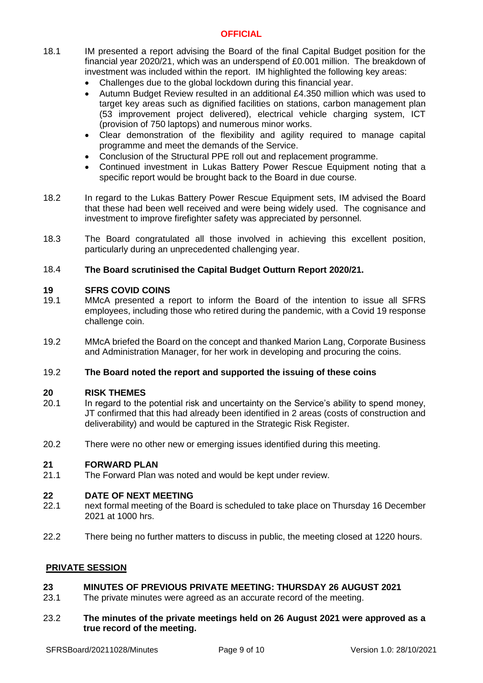- 18.1 IM presented a report advising the Board of the final Capital Budget position for the financial year 2020/21, which was an underspend of £0.001 million. The breakdown of investment was included within the report. IM highlighted the following key areas:
	- Challenges due to the global lockdown during this financial year.
	- Autumn Budget Review resulted in an additional £4.350 million which was used to target key areas such as dignified facilities on stations, carbon management plan (53 improvement project delivered), electrical vehicle charging system, ICT (provision of 750 laptops) and numerous minor works.
	- Clear demonstration of the flexibility and agility required to manage capital programme and meet the demands of the Service.
	- Conclusion of the Structural PPE roll out and replacement programme.
	- Continued investment in Lukas Battery Power Rescue Equipment noting that a specific report would be brought back to the Board in due course.
- 18.2 In regard to the Lukas Battery Power Rescue Equipment sets, IM advised the Board that these had been well received and were being widely used. The cognisance and investment to improve firefighter safety was appreciated by personnel.
- 18.3 The Board congratulated all those involved in achieving this excellent position, particularly during an unprecedented challenging year.

#### 18.4 **The Board scrutinised the Capital Budget Outturn Report 2020/21.**

## **19 SFRS COVID COINS**

- 19.1 MMcA presented a report to inform the Board of the intention to issue all SFRS employees, including those who retired during the pandemic, with a Covid 19 response challenge coin.
- 19.2 MMcA briefed the Board on the concept and thanked Marion Lang, Corporate Business and Administration Manager, for her work in developing and procuring the coins.

#### 19.2 **The Board noted the report and supported the issuing of these coins**

### **20 RISK THEMES**

- 20.1 In regard to the potential risk and uncertainty on the Service's ability to spend money, JT confirmed that this had already been identified in 2 areas (costs of construction and deliverability) and would be captured in the Strategic Risk Register.
- 20.2 There were no other new or emerging issues identified during this meeting.

# **21 FORWARD PLAN**

The Forward Plan was noted and would be kept under review.

### **22 DATE OF NEXT MEETING**

- 22.1 next formal meeting of the Board is scheduled to take place on Thursday 16 December 2021 at 1000 hrs.
- 22.2 There being no further matters to discuss in public, the meeting closed at 1220 hours.

### **PRIVATE SESSION**

#### **23 MINUTES OF PREVIOUS PRIVATE MEETING: THURSDAY 26 AUGUST 2021**

- 23.1 The private minutes were agreed as an accurate record of the meeting.
- 23.2 **The minutes of the private meetings held on 26 August 2021 were approved as a true record of the meeting.**